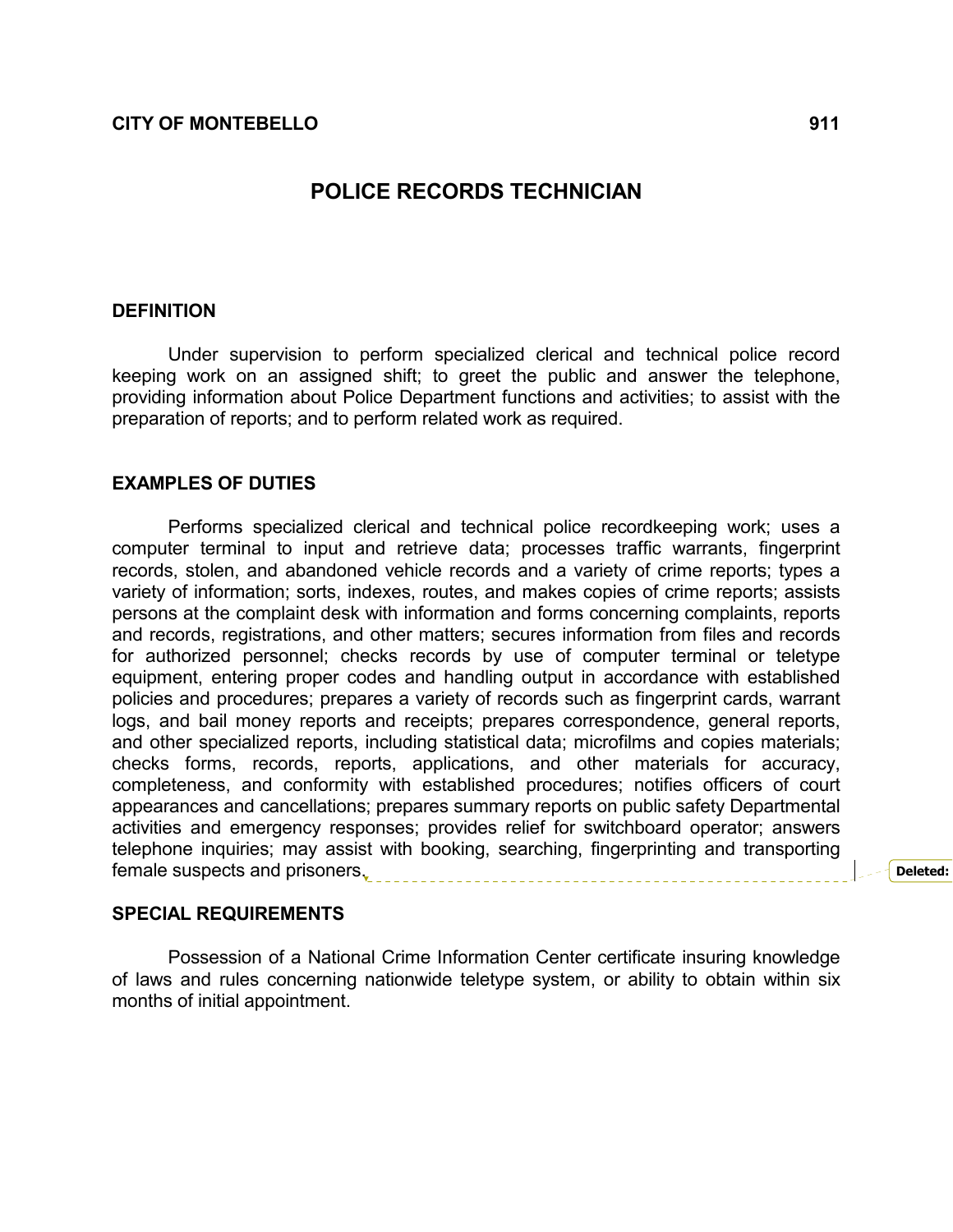# POLICE RECORDS TECHNICIAN

### DEFINITION

 Under supervision to perform specialized clerical and technical police record keeping work on an assigned shift; to greet the public and answer the telephone, providing information about Police Department functions and activities; to assist with the preparation of reports; and to perform related work as required.

### EXAMPLES OF DUTIES

 Performs specialized clerical and technical police recordkeeping work; uses a computer terminal to input and retrieve data; processes traffic warrants, fingerprint records, stolen, and abandoned vehicle records and a variety of crime reports; types a variety of information; sorts, indexes, routes, and makes copies of crime reports; assists persons at the complaint desk with information and forms concerning complaints, reports and records, registrations, and other matters; secures information from files and records for authorized personnel; checks records by use of computer terminal or teletype equipment, entering proper codes and handling output in accordance with established policies and procedures; prepares a variety of records such as fingerprint cards, warrant logs, and bail money reports and receipts; prepares correspondence, general reports, and other specialized reports, including statistical data; microfilms and copies materials; checks forms, records, reports, applications, and other materials for accuracy, completeness, and conformity with established procedures; notifies officers of court appearances and cancellations; prepares summary reports on public safety Departmental activities and emergency responses; provides relief for switchboard operator; answers telephone inquiries; may assist with booking, searching, fingerprinting and transporting female suspects and prisoners.

SPECIAL REQUIREMENTS

 Possession of a National Crime Information Center certificate insuring knowledge of laws and rules concerning nationwide teletype system, or ability to obtain within six months of initial appointment.

Deleted: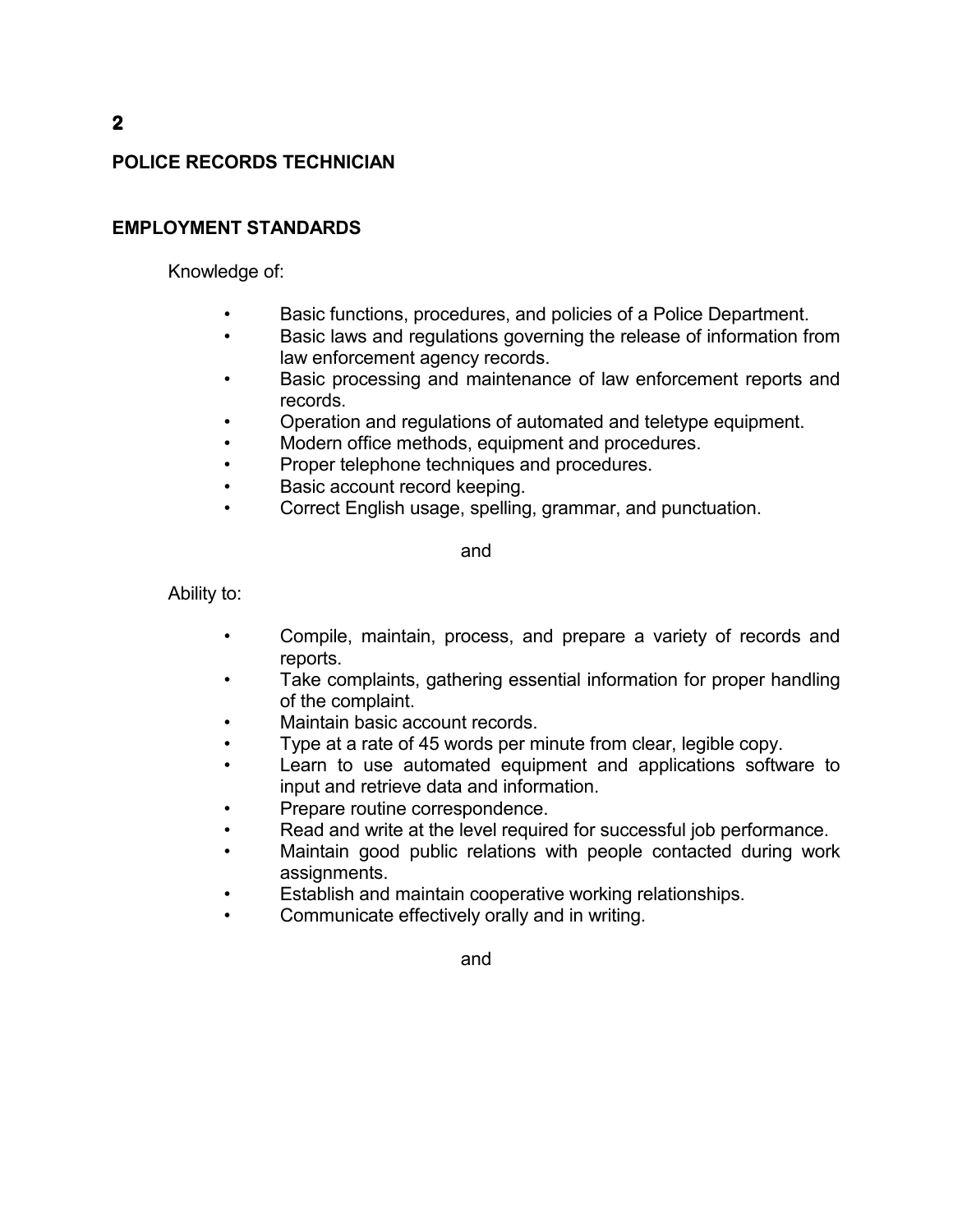## POLICE RECORDS TECHNICIAN

### EMPLOYMENT STANDARDS

Knowledge of:

- Basic functions, procedures, and policies of a Police Department.
- Basic laws and regulations governing the release of information from law enforcement agency records.
- Basic processing and maintenance of law enforcement reports and records.
- Operation and regulations of automated and teletype equipment.
- Modern office methods, equipment and procedures.
- Proper telephone techniques and procedures.
- Basic account record keeping.
- Correct English usage, spelling, grammar, and punctuation.

and

Ability to:

- Compile, maintain, process, and prepare a variety of records and reports.
- Take complaints, gathering essential information for proper handling of the complaint.
- Maintain basic account records.
- Type at a rate of 45 words per minute from clear, legible copy.
- Learn to use automated equipment and applications software to input and retrieve data and information.
- Prepare routine correspondence.
- Read and write at the level required for successful job performance.
- Maintain good public relations with people contacted during work assignments.
- Establish and maintain cooperative working relationships.
- Communicate effectively orally and in writing.